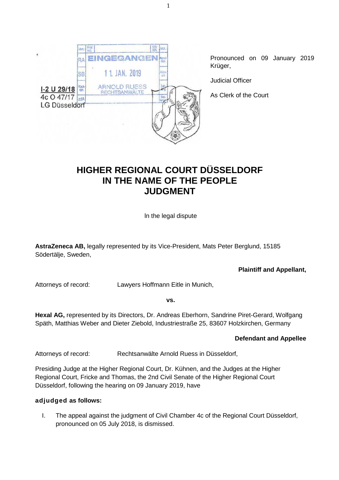

# **HIGHER REGIONAL COURT DÜSSELDORF IN THE NAME OF THE PEOPLE JUDGMENT**

ln the legal dispute

**AstraZeneca AB,** legally represented by its Vice-President, Mats Peter Berglund, 15185 Södertälje, Sweden,

**Plaintiff and Appellant,**

Attorneys of record: Lawyers Hoffmann Eitle in Munich,

**vs.**

**Hexal AG,** represented by its Directors, Dr. Andreas Eberhorn, Sandrine Piret-Gerard, Wolfgang Späth, Matthias Weber and Dieter Ziebold, Industriestraße 25, 83607 Holzkirchen, Germany

### **Defendant and Appellee**

Attorneys of record: Rechtsanwälte Arnold Ruess in Düsseldorf,

Presiding Judge at the Higher Regional Court, Dr. Kühnen, and the Judges at the Higher Regional Court, Fricke and Thomas, the 2nd Civil Senate of the Higher Regional Court Düsseldorf, following the hearing on 09 January 2019, have

### **adjudged as follows:**

I. The appeal against the judgment of Civil Chamber 4c of the Regional Court Düsseldorf, pronounced on 05 July 2018, is dismissed.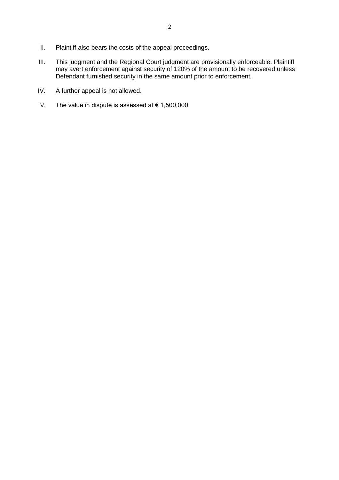- II. Plaintiff also bears the costs of the appeal proceedings.
- III. This judgment and the Regional Court judgment are provisionally enforceable. Plaintiff may avert enforcement against security of 120% of the amount to be recovered unless Defendant furnished security in the same amount prior to enforcement.
- IV. A further appeal is not allowed.
- V. The value in dispute is assessed at  $€ 1,500,000$ .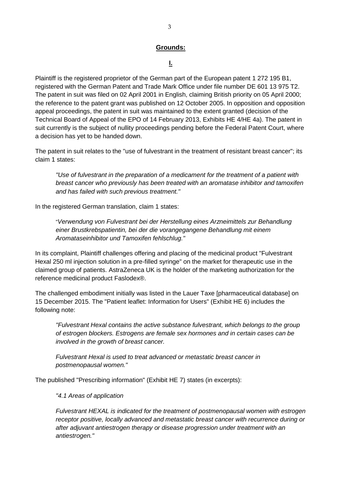#### **Grounds:**

### **I.**

Plaintiff is the registered proprietor of the German part of the European patent 1 272 195 B1, registered with the German Patent and Trade Mark Office under file number DE 601 13 975 T2. The patent in suit was filed on 02 April 2001 in English, claiming British priority on 05 April 2000; the reference to the patent grant was published on 12 October 2005. In opposition and opposition appeal proceedings, the patent in suit was maintained to the extent granted (decision of the Technical Board of Appeal of the EPO of 14 February 2013, Exhibits HE 4/HE 4a). The patent in suit currently is the subject of nullity proceedings pending before the Federal Patent Court, where a decision has yet to be handed down.

The patent in suit relates to the "use of fulvestrant in the treatment of resistant breast cancer"; its claim 1 states:

*"Use of fulvestrant in the preparation of a medicament for the treatment of a patient with breast cancer who previously has been treated with an aromatase inhibitor and tamoxifen and has failed with such previous treatment."*

In the registered German translation, claim 1 states:

"*Verwendung von Fulvestrant bei der Herstellung eines Arzneimittels zur Behandlung einer Brustkrebspatientin, bei der die vorangegangene Behandlung mit einem Aromataseinhibitor und Tamoxifen fehlschlug."*

In its complaint, Plaintiff challenges offering and placing of the medicinal product "Fulvestrant Hexal 250 ml injection solution in a pre-filled syringe" on the market for therapeutic use in the claimed group of patients. AstraZeneca UK is the holder of the marketing authorization for the reference medicinal product Faslodex®.

The challenged embodiment initially was listed in the Lauer Taxe [pharmaceutical database] on 15 December 2015. The "Patient leaflet: Information for Users" (Exhibit HE 6) includes the following note:

*"Fulvestrant Hexal contains the active substance fulvestrant, which belongs to the group of estrogen blockers. Estrogens are female sex hormones and in certain cases can be involved in the growth of breast cancer.*

*Fulvestrant Hexal is used to treat advanced or metastatic breast cancer in postmenopausal women."*

The published "Prescribing information" (Exhibit HE 7) states (in excerpts):

*"4.1 Areas of application*

*Fulvestrant HEXAL is indicated for the treatment of postmenopausal women with estrogen receptor positive, locally advanced and metastatic breast cancer with recurrence during or after adjuvant antiestrogen therapy or disease progression under treatment with an antiestrogen."*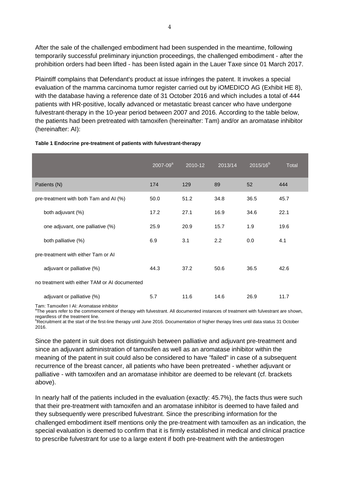After the sale of the challenged embodiment had been suspended in the meantime, following temporarily successful preliminary injunction proceedings, the challenged embodiment - after the prohibition orders had been lifted - has been listed again in the Lauer Taxe since 01 March 2017.

Plaintiff complains that Defendant's product at issue infringes the patent. It invokes a special evaluation of the mamma carcinoma tumor register carried out by iOMEDICO AG (Exhibit HE 8), with the database having a reference date of 31 October 2016 and which includes a total of 444 patients with HR-positive, locally advanced or metastatic breast cancer who have undergone fulvestrant-therapy in the 10-year period between 2007 and 2016. According to the table below, the patients had been pretreated with tamoxifen (hereinafter: Tam) and/or an aromatase inhibitor (hereinafter: AI):

|                                               | $2007 - 09^a$ | 2010-12 | 2013/14 | $2015/16^{b}$ | Total |
|-----------------------------------------------|---------------|---------|---------|---------------|-------|
| Patients (N)                                  | 174           | 129     | 89      | 52            | 444   |
| pre-treatment with both Tam and AI (%)        | 50.0          | 51.2    | 34.8    | 36.5          | 45.7  |
| both adjuvant (%)                             | 17.2          | 27.1    | 16.9    | 34.6          | 22.1  |
| one adjuvant, one palliative (%)              | 25.9          | 20.9    | 15.7    | 1.9           | 19.6  |
| both palliative (%)                           | 6.9           | 3.1     | 2.2     | 0.0           | 4.1   |
| pre-treatment with either Tam or AI           |               |         |         |               |       |
| adjuvant or palliative (%)                    | 44.3          | 37.2    | 50.6    | 36.5          | 42.6  |
| no treatment with either TAM or AI documented |               |         |         |               |       |
| adjuvant or palliative (%)                    | 5.7           | 11.6    | 14.6    | 26.9          | 11.7  |

#### **Table 1 Endocrine pre-treatment of patients with fulvestrant-therapy**

Tam: Tamoxifen I AI: Aromatase inhibitor

<sup>a</sup>The years refer to the commencement of therapy with fulvestrant. All documented instances of treatment with fulvestrant are shown, regardless of the treatment line.

<sup>b</sup>Recruitment at the start of the first-line therapy until June 2016. Documentation of higher therapy lines until data status 31 October 2016.

Since the patent in suit does not distinguish between palliative and adjuvant pre-treatment and since an adjuvant administration of tamoxifen as well as an aromatase inhibitor within the meaning of the patent in suit could also be considered to have "failed" in case of a subsequent recurrence of the breast cancer, all patients who have been pretreated - whether adjuvant or palliative - with tamoxifen and an aromatase inhibitor are deemed to be relevant (cf. brackets above).

In nearly half of the patients included in the evaluation (exactly: 45.7%), the facts thus were such that their pre-treatment with tamoxifen and an aromatase inhibitor is deemed to have failed and they subsequently were prescribed fulvestrant. Since the prescribing information for the challenged embodiment itself mentions only the pre-treatment with tamoxifen as an indication, the special evaluation is deemed to confirm that it is firmly established in medical and clinical practice to prescribe fulvestrant for use to a large extent if both pre-treatment with the antiestrogen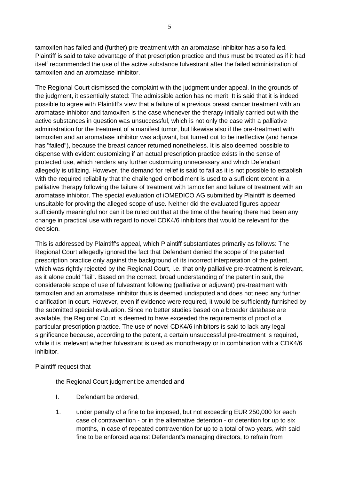tamoxifen has failed and (further) pre-treatment with an aromatase inhibitor has also failed. Plaintiff is said to take advantage of that prescription practice and thus must be treated as if it had itself recommended the use of the active substance fulvestrant after the failed administration of tamoxifen and an aromatase inhibitor.

The Regional Court dismissed the complaint with the judgment under appeal. In the grounds of the judgment, it essentially stated: The admissible action has no merit. It is said that it is indeed possible to agree with Plaintiff's view that a failure of a previous breast cancer treatment with an aromatase inhibitor and tamoxifen is the case whenever the therapy initially carried out with the active substances in question was unsuccessful, which is not only the case with a palliative administration for the treatment of a manifest tumor, but likewise also if the pre-treatment with tamoxifen and an aromatase inhibitor was adjuvant, but turned out to be ineffective (and hence has "failed"), because the breast cancer returned nonetheless. It is also deemed possible to dispense with evident customizing if an actual prescription practice exists in the sense of protected use, which renders any further customizing unnecessary and which Defendant allegedly is utilizing. However, the demand for relief is said to fail as it is not possible to establish with the required reliability that the challenged embodiment is used to a sufficient extent in a palliative therapy following the failure of treatment with tamoxifen and failure of treatment with an aromatase inhibitor. The special evaluation of iOMEDICO AG submitted by Plaintiff is deemed unsuitable for proving the alleged scope of use. Neither did the evaluated figures appear sufficiently meaningful nor can it be ruled out that at the time of the hearing there had been any change in practical use with regard to novel CDK4/6 inhibitors that would be relevant for the decision.

This is addressed by Plaintiff's appeal, which Plaintiff substantiates primarily as follows: The Regional Court allegedly ignored the fact that Defendant denied the scope of the patented prescription practice only against the background of its incorrect interpretation of the patent, which was rightly rejected by the Regional Court, i.e. that only palliative pre-treatment is relevant, as it alone could "fail". Based on the correct, broad understanding of the patent in suit, the considerable scope of use of fulvestrant following (palliative or adjuvant) pre-treatment with tamoxifen and an aromatase inhibitor thus is deemed undisputed and does not need any further clarification in court. However, even if evidence were required, it would be sufficiently furnished by the submitted special evaluation. Since no better studies based on a broader database are available, the Regional Court is deemed to have exceeded the requirements of proof of a particular prescription practice. The use of novel CDK4/6 inhibitors is said to lack any legal significance because, according to the patent, a certain unsuccessful pre-treatment is required, while it is irrelevant whether fulvestrant is used as monotherapy or in combination with a CDK4/6 inhibitor.

#### Plaintiff request that

the Regional Court judgment be amended and

- I. Defendant be ordered,
- 1. under penalty of a fine to be imposed, but not exceeding EUR 250,000 for each case of contravention - or in the alternative detention - or detention for up to six months, in case of repeated contravention for up to a total of two years, with said fine to be enforced against Defendant's managing directors, to refrain from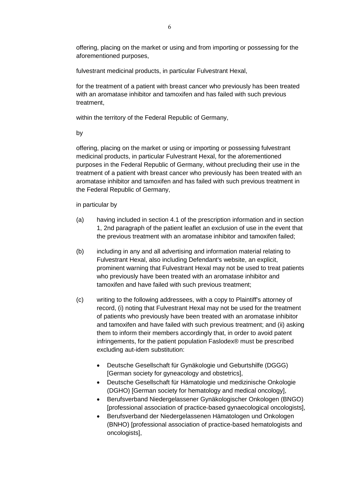offering, placing on the market or using and from importing or possessing for the aforementioned purposes,

fulvestrant medicinal products, in particular Fulvestrant Hexal,

for the treatment of a patient with breast cancer who previously has been treated with an aromatase inhibitor and tamoxifen and has failed with such previous treatment,

within the territory of the Federal Republic of Germany,

by

offering, placing on the market or using or importing or possessing fulvestrant medicinal products, in particular Fulvestrant Hexal, for the aforementioned purposes in the Federal Republic of Germany, without precluding their use in the treatment of a patient with breast cancer who previously has been treated with an aromatase inhibitor and tamoxifen and has failed with such previous treatment in the Federal Republic of Germany,

in particular by

- (a) having included in section 4.1 of the prescription information and in section 1, 2nd paragraph of the patient leaflet an exclusion of use in the event that the previous treatment with an aromatase inhibitor and tamoxifen failed;
- (b) including in any and all advertising and information material relating to Fulvestrant Hexal, also including Defendant's website, an explicit, prominent warning that Fulvestrant Hexal may not be used to treat patients who previously have been treated with an aromatase inhibitor and tamoxifen and have failed with such previous treatment;
- (c) writing to the following addressees, with a copy to Plaintiff's attorney of record, (i) noting that Fulvestrant Hexal may not be used for the treatment of patients who previously have been treated with an aromatase inhibitor and tamoxifen and have failed with such previous treatment; and (ii) asking them to inform their members accordingly that, in order to avoid patent infringements, for the patient population Faslodex® must be prescribed excluding aut-idem substitution:
	- Deutsche Gesellschaft für Gynäkologie und Geburtshilfe (DGGG) [German society for gyneacology and obstetrics],
	- Deutsche Gesellschaft für Hämatologie und medizinische Onkologie (DGHO) [German society for hematology and medical oncology],
	- Berufsverband Niedergelassener Gynäkologischer Onkologen (BNGO) [professional association of practice-based gynaecological oncologists],
	- Berufsverband der Niedergelassenen Hämatologen und Onkologen (BNHO) [professional association of practice-based hematologists and oncologists],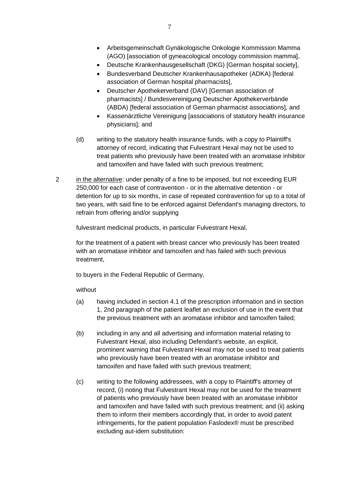- Arbeitsgemeinschaft Gynäkologische Onkologie Kommission Mamma (AGO) [association of gyneacological oncology commission mamma],
- Deutsche Krankenhausgesellschaft (DKG) [German hospital society],
- Bundesverband Deutscher Krankenhausapotheker (ADKA) [federal association of German hospital pharmacists],
- Deutscher Apothekerverband (DAV) [German association of pharmacists] / Bundesvereinigung Deutscher Apothekerverbände (ABDA) [federal association of German pharmacist associations], and
- Kassenärztliche Vereinigung [associations of statutory health insurance physicians]; and
- (d) writing to the statutory health insurance funds, with a copy to Plaintiff's attorney of record, indicating that Fulvestrant Hexal may not be used to treat patients who previously have been treated with an aromatase inhibitor and tamoxifen and have failed with such previous treatment;
- 2 in the alternative: under penalty of a fine to be imposed, but not exceeding EUR 250,000 for each case of contravention - or in the alternative detention - or detention for up to six months, in case of repeated contravention for up to a total of two years, with said fine to be enforced against Defendant's managing directors, to refrain from offering and/or supplying

fulvestrant medicinal products, in particular Fulvestrant Hexal,

for the treatment of a patient with breast cancer who previously has been treated with an aromatase inhibitor and tamoxifen and has failed with such previous treatment,

to buyers in the Federal Republic of Germany,

without

- (a) having included in section 4.1 of the prescription information and in section 1, 2nd paragraph of the patient leaflet an exclusion of use in the event that the previous treatment with an aromatase inhibitor and tamoxifen failed;
- (b) including in any and all advertising and information material relating to Fulvestrant Hexal, also including Defendant's website, an explicit, prominent warning that Fulvestrant Hexal may not be used to treat patients who previously have been treated with an aromatase inhibitor and tamoxifen and have failed with such previous treatment;
- (c) writing to the following addressees, with a copy to Plaintiff's attorney of record, (i) noting that Fulvestrant Hexal may not be used for the treatment of patients who previously have been treated with an aromatase inhibitor and tamoxifen and have failed with such previous treatment; and (ii) asking them to inform their members accordingly that, in order to avoid patent infringements, for the patient population Faslodex® must be prescribed excluding aut-idem substitution: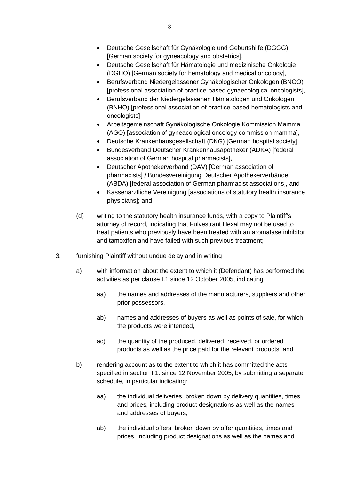- Deutsche Gesellschaft für Hämatologie und medizinische Onkologie (DGHO) [German society for hematology and medical oncology],
- Berufsverband Niedergelassener Gynäkologischer Onkologen (BNGO) [professional association of practice-based gynaecological oncologists],
- Berufsverband der Niedergelassenen Hämatologen und Onkologen (BNHO) [professional association of practice-based hematologists and oncologists],
- Arbeitsgemeinschaft Gynäkologische Onkologie Kommission Mamma (AGO) [association of gyneacological oncology commission mamma],
- Deutsche Krankenhausgesellschaft (DKG) [German hospital society],
- Bundesverband Deutscher Krankenhausapotheker (ADKA) [federal association of German hospital pharmacists],
- Deutscher Apothekerverband (DAV) [German association of pharmacists] / Bundesvereinigung Deutscher Apothekerverbände (ABDA) [federal association of German pharmacist associations], and
- Kassenärztliche Vereinigung [associations of statutory health insurance physicians]; and
- (d) writing to the statutory health insurance funds, with a copy to Plaintiff's attorney of record, indicating that Fulvestrant Hexal may not be used to treat patients who previously have been treated with an aromatase inhibitor and tamoxifen and have failed with such previous treatment;
- 3. furnishing Plaintiff without undue delay and in writing
	- a) with information about the extent to which it (Defendant) has performed the activities as per clause I.1 since 12 October 2005, indicating
		- aa) the names and addresses of the manufacturers, suppliers and other prior possessors,
		- ab) names and addresses of buyers as well as points of sale, for which the products were intended,
		- ac) the quantity of the produced, delivered, received, or ordered products as well as the price paid for the relevant products, and
	- b) rendering account as to the extent to which it has committed the acts specified in section I.1. since 12 November 2005, by submitting a separate schedule, in particular indicating:
		- aa) the individual deliveries, broken down by delivery quantities, times and prices, including product designations as well as the names and addresses of buyers;
		- ab) the individual offers, broken down by offer quantities, times and prices, including product designations as well as the names and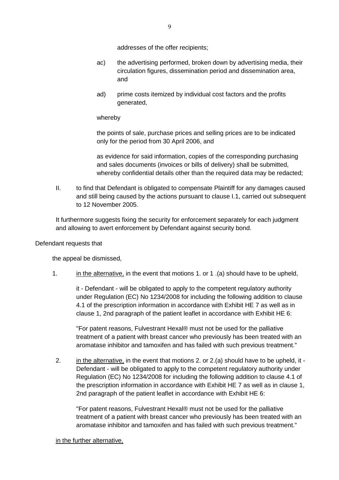addresses of the offer recipients;

- ac) the advertising performed, broken down by advertising media, their circulation figures, dissemination period and dissemination area, and
- ad) prime costs itemized by individual cost factors and the profits generated,

whereby

the points of sale, purchase prices and selling prices are to be indicated only for the period from 30 April 2006, and

as evidence for said information, copies of the corresponding purchasing and sales documents (invoices or bills of delivery) shall be submitted, whereby confidential details other than the required data may be redacted;

II. to find that Defendant is obligated to compensate Plaintiff for any damages caused and still being caused by the actions pursuant to clause I.1, carried out subsequent to 12 November 2005.

It furthermore suggests fixing the security for enforcement separately for each judgment and allowing to avert enforcement by Defendant against security bond.

#### Defendant requests that

the appeal be dismissed,

1. in the alternative, in the event that motions 1. or 1 .(a) should have to be upheld,

it - Defendant - will be obligated to apply to the competent regulatory authority under Regulation (EC) No 1234/2008 for including the following addition to clause 4.1 of the prescription information in accordance with Exhibit HE 7 as well as in clause 1, 2nd paragraph of the patient leaflet in accordance with Exhibit HE 6:

"For patent reasons, Fulvestrant Hexal® must not be used for the palliative treatment of a patient with breast cancer who previously has been treated with an aromatase inhibitor and tamoxifen and has failed with such previous treatment."

2. in the alternative, in the event that motions 2. or 2.(a) should have to be upheld, it - Defendant - will be obligated to apply to the competent regulatory authority under Regulation (EC) No 1234/2008 for including the following addition to clause 4.1 of the prescription information in accordance with Exhibit HE 7 as well as in clause 1, 2nd paragraph of the patient leaflet in accordance with Exhibit HE 6:

"For patent reasons, Fulvestrant Hexal® must not be used for the palliative treatment of a patient with breast cancer who previously has been treated with an aromatase inhibitor and tamoxifen and has failed with such previous treatment."

in the further alternative,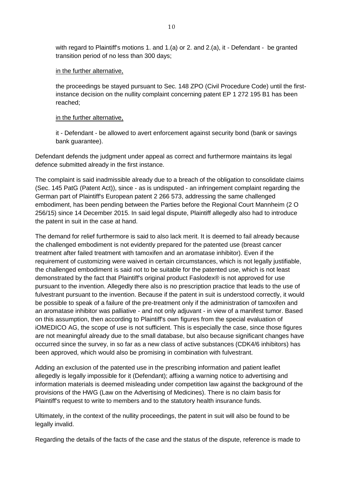with regard to Plaintiff's motions 1. and 1.(a) or 2. and 2.(a), it - Defendant - be granted transition period of no less than 300 days;

#### in the further alternative,

the proceedings be stayed pursuant to Sec. 148 ZPO (Civil Procedure Code) until the firstinstance decision on the nullity complaint concerning patent EP 1 272 195 B1 has been reached;

#### in the further alternative,

it - Defendant - be allowed to avert enforcement against security bond (bank or savings bank guarantee).

Defendant defends the judgment under appeal as correct and furthermore maintains its legal defence submitted already in the first instance.

The complaint is said inadmissible already due to a breach of the obligation to consolidate claims (Sec. 145 PatG (Patent Act)), since - as is undisputed - an infringement complaint regarding the German part of Plaintiff's European patent 2 266 573, addressing the same challenged embodiment, has been pending between the Parties before the Regional Court Mannheim (2 O 256/15) since 14 December 2015. In said legal dispute, Plaintiff allegedly also had to introduce the patent in suit in the case at hand.

The demand for relief furthermore is said to also lack merit. It is deemed to fail already because the challenged embodiment is not evidently prepared for the patented use (breast cancer treatment after failed treatment with tamoxifen and an aromatase inhibitor). Even if the requirement of customizing were waived in certain circumstances, which is not legally justifiable, the challenged embodiment is said not to be suitable for the patented use, which is not least demonstrated by the fact that Plaintiff's original product Faslodex® is not approved for use pursuant to the invention. Allegedly there also is no prescription practice that leads to the use of fulvestrant pursuant to the invention. Because if the patent in suit is understood correctly, it would be possible to speak of a failure of the pre-treatment only if the administration of tamoxifen and an aromatase inhibitor was palliative - and not only adjuvant - in view of a manifest tumor. Based on this assumption, then according to Plaintiff's own figures from the special evaluation of iOMEDICO AG, the scope of use is not sufficient. This is especially the case, since those figures are not meaningful already due to the small database, but also because significant changes have occurred since the survey, in so far as a new class of active substances (CDK4/6 inhibitors) has been approved, which would also be promising in combination with fulvestrant.

Adding an exclusion of the patented use in the prescribing information and patient leaflet allegedly is legally impossible for it (Defendant); affixing a warning notice to advertising and information materials is deemed misleading under competition law against the background of the provisions of the HWG (Law on the Advertising of Medicines). There is no claim basis for Plaintiff's request to write to members and to the statutory health insurance funds.

Ultimately, in the context of the nullity proceedings, the patent in suit will also be found to be legally invalid.

Regarding the details of the facts of the case and the status of the dispute, reference is made to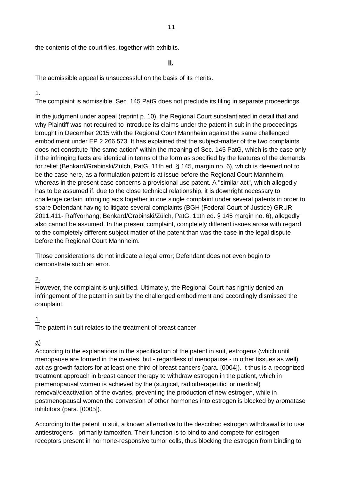the contents of the court files, together with exhibits.

#### **II.**

The admissible appeal is unsuccessful on the basis of its merits.

### 1.

The complaint is admissible. Sec. 145 PatG does not preclude its filing in separate proceedings.

In the judgment under appeal (reprint p. 10), the Regional Court substantiated in detail that and why Plaintiff was not required to introduce its claims under the patent in suit in the proceedings brought in December 2015 with the Regional Court Mannheim against the same challenged embodiment under EP 2 266 573. It has explained that the subject-matter of the two complaints does not constitute "the same action" within the meaning of Sec. 145 PatG, which is the case only if the infringing facts are identical in terms of the form as specified by the features of the demands for relief (Benkard/Grabinski/Zülch, PatG, 11th ed. § 145, margin no. 6), which is deemed not to be the case here, as a formulation patent is at issue before the Regional Court Mannheim, whereas in the present case concerns a provisional use patent. A "similar act", which allegedly has to be assumed if, due to the close technical relationship, it is downright necessary to challenge certain infringing acts together in one single complaint under several patents in order to spare Defendant having to litigate several complaints (BGH (Federal Court of Justice) GRUR 2011,411- Raffvorhang; Benkard/Grabinski/Zülch, PatG, 11th ed. § 145 margin no. 6), allegedly also cannot be assumed. In the present complaint, completely different issues arose with regard to the completely different subject matter of the patent than was the case in the legal dispute before the Regional Court Mannheim.

Those considerations do not indicate a legal error; Defendant does not even begin to demonstrate such an error.

## 2.

However, the complaint is unjustified. Ultimately, the Regional Court has rightly denied an infringement of the patent in suit by the challenged embodiment and accordingly dismissed the complaint.

### 1.

The patent in suit relates to the treatment of breast cancer.

#### a)

According to the explanations in the specification of the patent in suit, estrogens (which until menopause are formed in the ovaries, but - regardless of menopause - in other tissues as well) act as growth factors for at least one-third of breast cancers (para. [0004]). It thus is a recognized treatment approach in breast cancer therapy to withdraw estrogen in the patient, which in premenopausal women is achieved by the (surgical, radiotherapeutic, or medical) removal/deactivation of the ovaries, preventing the production of new estrogen, while in postmenopausal women the conversion of other hormones into estrogen is blocked by aromatase inhibitors (para. [0005]).

According to the patent in suit, a known alternative to the described estrogen withdrawal is to use antiestrogens - primarily tamoxifen. Their function is to bind to and compete for estrogen receptors present in hormone-responsive tumor cells, thus blocking the estrogen from binding to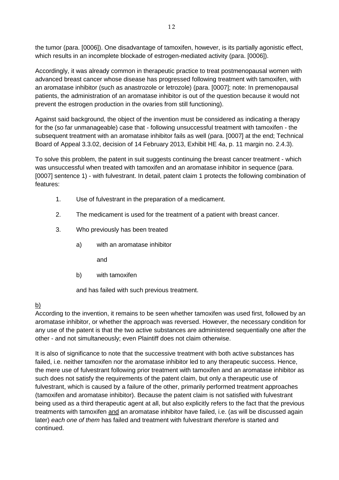the tumor (para. [0006]). One disadvantage of tamoxifen, however, is its partially agonistic effect, which results in an incomplete blockade of estrogen-mediated activity (para. [0006]).

Accordingly, it was already common in therapeutic practice to treat postmenopausal women with advanced breast cancer whose disease has progressed following treatment with tamoxifen, with an aromatase inhibitor (such as anastrozole or letrozole) (para. [0007]; note: In premenopausal patients, the administration of an aromatase inhibitor is out of the question because it would not prevent the estrogen production in the ovaries from still functioning).

Against said background, the object of the invention must be considered as indicating a therapy for the (so far unmanageable) case that - following unsuccessful treatment with tamoxifen - the subsequent treatment with an aromatase inhibitor fails as well (para. [0007] at the end; Technical Board of Appeal 3.3.02, decision of 14 February 2013, Exhibit HE 4a, p. 11 margin no. 2.4.3).

To solve this problem, the patent in suit suggests continuing the breast cancer treatment - which was unsuccessful when treated with tamoxifen and an aromatase inhibitor in sequence (para. [0007] sentence 1) - with fulvestrant. In detail, patent claim 1 protects the following combination of features:

- 1. Use of fulvestrant in the preparation of a medicament.
- 2. The medicament is used for the treatment of a patient with breast cancer.
- 3. Who previously has been treated
	- a) with an aromatase inhibitor
		- and
	- b) with tamoxifen

and has failed with such previous treatment.

## b)

According to the invention, it remains to be seen whether tamoxifen was used first, followed by an aromatase inhibitor, or whether the approach was reversed. However, the necessary condition for any use of the patent is that the two active substances are administered sequentially one after the other - and not simultaneously; even Plaintiff does not claim otherwise.

It is also of significance to note that the successive treatment with both active substances has failed, i.e. neither tamoxifen nor the aromatase inhibitor led to any therapeutic success. Hence, the mere use of fulvestrant following prior treatment with tamoxifen and an aromatase inhibitor as such does not satisfy the requirements of the patent claim, but only a therapeutic use of fulvestrant, which is caused by a failure of the other, primarily performed treatment approaches (tamoxifen and aromatase inhibitor). Because the patent claim is not satisfied with fulvestrant being used as a third therapeutic agent at all, but also explicitly refers to the fact that the previous treatments with tamoxifen and an aromatase inhibitor have failed, i.e. (as will be discussed again later) *each one of them* has failed and treatment with fulvestrant *therefore* is started and continued.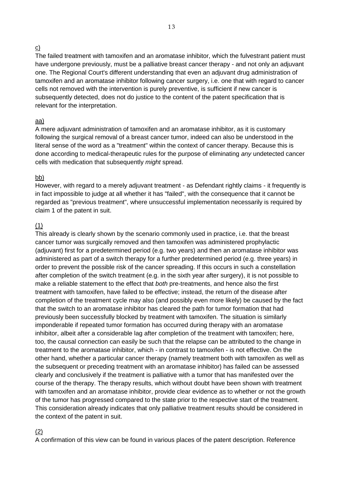#### c)

The failed treatment with tamoxifen and an aromatase inhibitor, which the fulvestrant patient must have undergone previously, must be a palliative breast cancer therapy - and not only an adjuvant one. The Regional Court's different understanding that even an adjuvant drug administration of tamoxifen and an aromatase inhibitor following cancer surgery, i.e. one that with regard to cancer cells not removed with the intervention is purely preventive, is sufficient if new cancer is subsequently detected, does not do justice to the content of the patent specification that is relevant for the interpretation.

#### aa)

A mere adjuvant administration of tamoxifen and an aromatase inhibitor, as it is customary following the surgical removal of a breast cancer tumor, indeed can also be understood in the literal sense of the word as a "treatment" within the context of cancer therapy. Because this is done according to medical-therapeutic rules for the purpose of eliminating *any* undetected cancer cells with medication that subsequently *might* spread.

#### bb)

However, with regard to a merely adjuvant treatment - as Defendant rightly claims - it frequently is in fact impossible to judge at all whether it has "failed", with the consequence that it cannot be regarded as "previous treatment", where unsuccessful implementation necessarily is required by claim 1 of the patent in suit.

### (1)

This already is clearly shown by the scenario commonly used in practice, i.e. that the breast cancer tumor was surgically removed and then tamoxifen was administered prophylactic (adjuvant) first for a predetermined period (e.g. two years) and then an aromatase inhibitor was administered as part of a switch therapy for a further predetermined period (e.g. three years) in order to prevent the possible risk of the cancer spreading. If this occurs in such a constellation after completion of the switch treatment (e.g. in the sixth year after surgery), it is not possible to make a reliable statement to the effect that *both* pre-treatments, and hence also the first treatment with tamoxifen, have failed to be effective; instead, the return of the disease after completion of the treatment cycle may also (and possibly even more likely) be caused by the fact that the switch to an aromatase inhibitor has cleared the path for tumor formation that had previously been successfully blocked by treatment with tamoxifen. The situation is similarly imponderable if repeated tumor formation has occurred during therapy with an aromatase inhibitor, albeit after a considerable lag after completion of the treatment with tamoxifen; here, too, the causal connection can easily be such that the relapse can be attributed to the change in treatment to the aromatase inhibitor, which - in contrast to tamoxifen - is not effective. On the other hand, whether a particular cancer therapy (namely treatment both with tamoxifen as well as the subsequent or preceding treatment with an aromatase inhibitor) has failed can be assessed clearly and conclusively if the treatment is palliative with a tumor that has manifested over the course of the therapy. The therapy results, which without doubt have been shown with treatment with tamoxifen and an aromatase inhibitor, provide clear evidence as to whether or not the growth of the tumor has progressed compared to the state prior to the respective start of the treatment. This consideration already indicates that only palliative treatment results should be considered in the context of the patent in suit.

#### (2)

A confirmation of this view can be found in various places of the patent description. Reference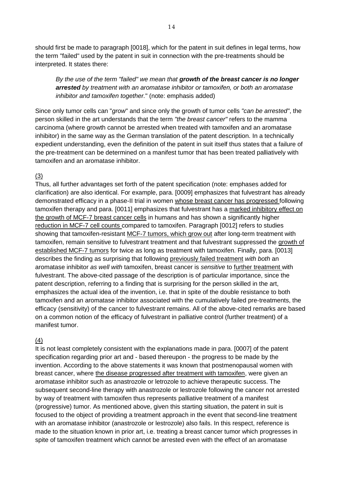should first be made to paragraph [0018], which for the patent in suit defines in legal terms, how the term "failed" used by the patent in suit in connection with the pre-treatments should be interpreted. It states there:

*By the use of the term "failed" we mean that growth of the breast cancer is no longer arrested by treatment with an aromatase inhibitor or tamoxifen, or both an aromatase inhibitor and tamoxifen together.*" (note: emphasis added)

Since only tumor cells can "*grow*" and since only the growth of tumor cells *"can be arrested"*, the person skilled in the art understands that the term *"the breast cancer"* refers to the mamma carcinoma (where growth cannot be arrested when treated with tamoxifen and an aromatase inhibitor) in the same way as the German translation of the patent description. In a technically expedient understanding, even the definition of the patent in suit itself thus states that a failure of the pre-treatment can be determined on a manifest tumor that has been treated palliatively with tamoxifen and an aromatase inhibitor.

#### (3)

Thus, all further advantages set forth of the patent specification (note: emphases added for clarification) are also identical. For example, para. [0009] emphasizes that fulvestrant has already demonstrated efficacy in a phase-II trial in women whose breast cancer has progressed following tamoxifen therapy and para. [0011] emphasizes that fulvestrant has a marked inhibitory effect on the growth of MCF-7 breast cancer cells in humans and has shown a significantly higher reduction in MCF-7 cell counts compared to tamoxifen. Paragraph [0012] refers to studies showing that tamoxifen-resistant MCF-7 tumors, which grow out after long-term treatment with tamoxifen, remain sensitive to fulvestrant treatment and that fulvestrant suppressed the growth of established MCF-7 tumors for twice as long as treatment with tamoxifen. Finally, para. [0013] describes the finding as surprising that following previously failed treatment *with both* an aromatase inhibitor *as well with* tamoxifen, breast cancer is *sensitive* to further treatment with fulvestrant. The above-cited passage of the description is of particular importance, since the patent description, referring to a finding that is surprising for the person skilled in the art, emphasizes the actual idea of the invention, i.e. that in spite of the double resistance to both tamoxifen and an aromatase inhibitor associated with the cumulatively failed pre-treatments, the efficacy (sensitivity) of the cancer to fulvestrant remains. All of the above-cited remarks are based on a common notion of the efficacy of fulvestrant in palliative control (further treatment) of a manifest tumor.

### (4)

It is not least completely consistent with the explanations made in para. [0007] of the patent specification regarding prior art and - based thereupon - the progress to be made by the invention. According to the above statements it was known that postmenopausal women with breast cancer, where the disease progressed after treatment with tamoxifen, were given an aromatase inhibitor such as anastrozole or letrozole to achieve therapeutic success. The subsequent second-line therapy with anastrozole or lestrozole following the cancer not arrested by way of treatment with tamoxifen thus represents palliative treatment of a manifest (progressive) tumor. As mentioned above, given this starting situation, the patent in suit is focused to the object of providing a treatment approach in the event that second-line treatment with an aromatase inhibitor (anastrozole or lestrozole) also fails. In this respect, reference is made to the situation known in prior art, i.e. treating a breast cancer tumor which progresses in spite of tamoxifen treatment which cannot be arrested even with the effect of an aromatase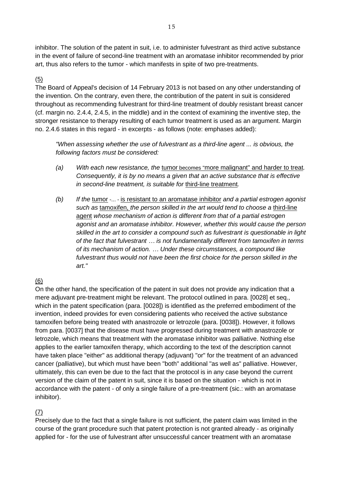inhibitor. The solution of the patent in suit, i.e. to administer fulvestrant as third active substance in the event of failure of second-line treatment with an aromatase inhibitor recommended by prior art, thus also refers to the tumor - which manifests in spite of two pre-treatments.

### (5)

The Board of Appeal's decision of 14 February 2013 is not based on any other understanding of the invention. On the contrary, even there, the contribution of the patent in suit is considered throughout as recommending fulvestrant for third-line treatment of doubly resistant breast cancer (cf. margin no. 2.4.4, 2.4.5, in the middle) and in the context of examining the inventive step, the stronger resistance to therapy resulting of each tumor treatment is used as an argument. Margin no. 2.4.6 states in this regard - in excerpts - as follows (note: emphases added):

*"When assessing whether the use of fulvestrant as a third-line agent ... is obvious, the following factors must be considered:*

- *(a) With each new resistance, the* tumor becomes "more malignant" and harder to treat*. Consequently, it is by no means a given that an active substance that is effective in second-line treatment, is suitable for* third-line treatment*.*
- *(b) If the* tumor -... is resistant to an aromatase inhibitor *and a partial estrogen agonist such as* tamoxifen, *the person skilled in the art would tend to choose a* third-line agent *whose mechanism of action is different from that of a partial estrogen agonist and an aromatase inhibitor. However, whether this would cause the person skilled in the art to consider a compound such as fulvestrant is questionable in light of the fact that fulvestrant … is not fundamentally different from tamoxifen in terms of its mechanism of action. … Under these circumstances, a compound like*  fulvestrant thus would not have been the first choice for the person skilled in the *art."*

## (6)

On the other hand, the specification of the patent in suit does not provide any indication that a mere adjuvant pre-treatment might be relevant. The protocol outlined in para. [0028] et seq., which in the patent specification (para. [0028]) is identified as the preferred embodiment of the invention, indeed provides for even considering patients who received the active substance tamoxifen before being treated with anastrozole or letrozole (para. [0038]). However, it follows from para. [0037] that the disease must have progressed during treatment with anastrozole or letrozole, which means that treatment with the aromatase inhibitor was palliative. Nothing else applies to the earlier tamoxifen therapy, which according to the text of the description cannot have taken place "either" as additional therapy (adjuvant) "or" for the treatment of an advanced cancer (palliative), but which must have been "both" additional "as well as" palliative. However, ultimately, this can even be due to the fact that the protocol is in any case beyond the current version of the claim of the patent in suit, since it is based on the situation - which is not in accordance with the patent - of only a single failure of a pre-treatment (sic.: with an aromatase inhibitor).

## (7)

Precisely due to the fact that a single failure is not sufficient, the patent claim was limited in the course of the grant procedure such that patent protection is not granted already - as originally applied for - for the use of fulvestrant after unsuccessful cancer treatment with an aromatase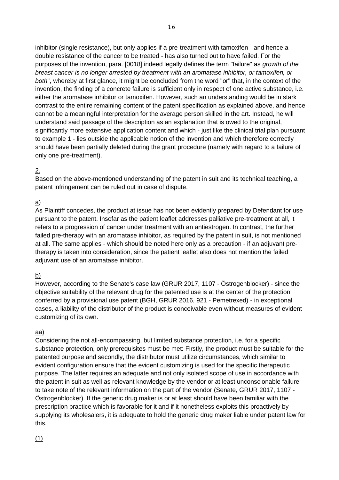inhibitor (single resistance), but only applies if a pre-treatment with tamoxifen - and hence a double resistance of the cancer to be treated - has also turned out to have failed. For the purposes of the invention, para. [0018] indeed legally defines the term "failure" as *growth of the breast cancer is no longer arrested by treatment with an aromatase inhibitor, or tamoxifen, or both*", whereby at first glance, it might be concluded from the word "or" that, in the context of the invention, the finding of a concrete failure is sufficient only in respect of one active substance, i.e. either the aromatase inhibitor or tamoxifen. However, such an understanding would be in stark contrast to the entire remaining content of the patent specification as explained above, and hence cannot be a meaningful interpretation for the average person skilled in the art. Instead, he will understand said passage of the description as an explanation that is owed to the original, significantly more extensive application content and which - just like the clinical trial plan pursuant to example 1 - lies outside the applicable notion of the invention and which therefore correctly should have been partially deleted during the grant procedure (namely with regard to a failure of only one pre-treatment).

### 2.

Based on the above-mentioned understanding of the patent in suit and its technical teaching, a patent infringement can be ruled out in case of dispute.

### a)

As Plaintiff concedes, the product at issue has not been evidently prepared by Defendant for use pursuant to the patent. Insofar as the patient leaflet addresses palliative pre-treatment at all, it refers to a progression of cancer under treatment with an antiestrogen. In contrast, the further failed pre-therapy with an aromatase inhibitor, as required by the patent in suit, is not mentioned at all. The same applies - which should be noted here only as a precaution - if an adjuvant pretherapy is taken into consideration, since the patient leaflet also does not mention the failed adjuvant use of an aromatase inhibitor.

## $\overline{p}$

However, according to the Senate's case law (GRUR 2017, 1107 - Östrogenblocker) - since the objective suitability of the relevant drug for the patented use is at the center of the protection conferred by a provisional use patent (BGH, GRUR 2016, 921 - Pemetrexed) - in exceptional cases, a liability of the distributor of the product is conceivable even without measures of evident customizing of its own.

### aa)

Considering the not all-encompassing, but limited substance protection, i.e. for a specific substance protection, only prerequisites must be met: Firstly, the product must be suitable for the patented purpose and secondly, the distributor must utilize circumstances, which similar to evident configuration ensure that the evident customizing is used for the specific therapeutic purpose. The latter requires an adequate and not only isolated scope of use in accordance with the patent in suit as well as relevant knowledge by the vendor or at least unconscionable failure to take note of the relevant information on the part of the vendor (Senate, GRUR 2017, 1107 - Östrogenblocker). If the generic drug maker is or at least should have been familiar with the prescription practice which is favorable for it and if it nonetheless exploits this proactively by supplying its wholesalers, it is adequate to hold the generic drug maker liable under patent law for this.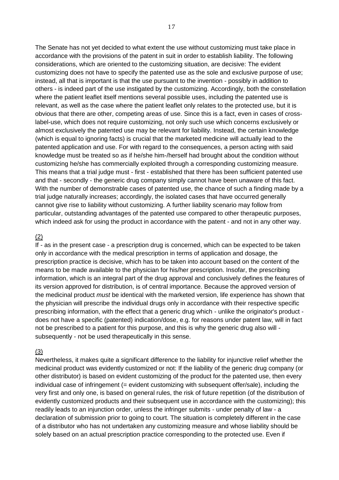The Senate has not yet decided to what extent the use without customizing must take place in accordance with the provisions of the patent in suit in order to establish liability. The following considerations, which are oriented to the customizing situation, are decisive: The evident customizing does not have to specify the patented use as the sole and exclusive purpose of use; instead, all that is important is that the use pursuant to the invention - possibly in addition to others - is indeed part of the use instigated by the customizing. Accordingly, both the constellation where the patient leaflet itself mentions several possible uses, including the patented use is relevant, as well as the case where the patient leaflet only relates to the protected use, but it is obvious that there are other, competing areas of use. Since this is a fact, even in cases of crosslabel-use, which does not require customizing, not only such use which concerns exclusively or almost exclusively the patented use may be relevant for liability. Instead, the certain knowledge (which is equal to ignoring facts) is crucial that the marketed medicine will actually lead to the patented application and use. For with regard to the consequences, a person acting with said knowledge must be treated so as if he/she him-/herself had brought about the condition without customizing he/she has commercially exploited through a corresponding customizing measure. This means that a trial judge must - first - established that there has been sufficient patented use and that - secondly - the generic drug company simply cannot have been unaware of this fact. With the number of demonstrable cases of patented use, the chance of such a finding made by a trial judge naturally increases; accordingly, the isolated cases that have occurred generally cannot give rise to liability without customizing. A further liability scenario may follow from particular, outstanding advantages of the patented use compared to other therapeutic purposes, which indeed ask for using the product in accordance with the patent - and not in any other way.

#### (2)

If - as in the present case - a prescription drug is concerned, which can be expected to be taken only in accordance with the medical prescription in terms of application and dosage, the prescription practice is decisive, which has to be taken into account based on the content of the means to be made available to the physician for his/her prescription. Insofar, the prescribing information, which is an integral part of the drug approval and conclusively defines the features of its version approved for distribution, is of central importance. Because the approved version of the medicinal product *must* be identical with the marketed version, life experience has shown that the physician will prescribe the individual drugs only in accordance with their respective specific prescribing information, with the effect that a generic drug which - unlike the originator's product does not have a specific (patented) indication/dose, e.g. for reasons under patent law, will in fact not be prescribed to a patient for this purpose, and this is why the generic drug also will subsequently - not be used therapeutically in this sense.

### (3)

Nevertheless, it makes quite a significant difference to the liability for injunctive relief whether the medicinal product was evidently customized or not: If the liability of the generic drug company (or other distributor) is based on evident customizing of the product for the patented use, then every individual case of infringement (= evident customizing with subsequent offer/sale), including the very first and only one, is based on general rules, the risk of future repetition (of the distribution of evidently customized products and their subsequent use in accordance with the customizing); this readily leads to an injunction order, unless the infringer submits - under penalty of law - a declaration of submission prior to going to court. The situation is completely different in the case of a distributor who has not undertaken any customizing measure and whose liability should be solely based on an actual prescription practice corresponding to the protected use. Even if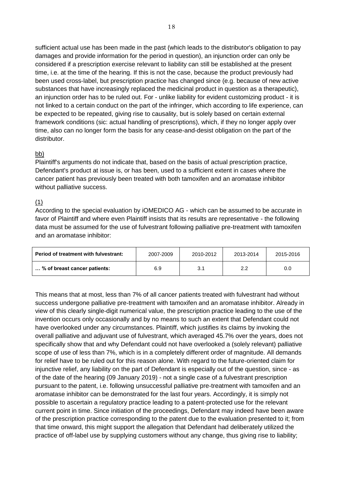sufficient actual use has been made in the past (which leads to the distributor's obligation to pay damages and provide information for the period in question), an injunction order can only be considered if a prescription exercise relevant to liability can still be established at the present time, i.e. at the time of the hearing. If this is not the case, because the product previously had been used cross-label, but prescription practice has changed since (e.g. because of new active substances that have increasingly replaced the medicinal product in question as a therapeutic), an injunction order has to be ruled out. For - unlike liability for evident customizing product - it is not linked to a certain conduct on the part of the infringer, which according to life experience, can be expected to be repeated, giving rise to causality, but is solely based on certain external framework conditions (sic: actual handling of prescriptions), which, if they no longer apply over time, also can no longer form the basis for any cease-and-desist obligation on the part of the distributor.

### bb)

Plaintiff's arguments do not indicate that, based on the basis of actual prescription practice, Defendant's product at issue is, or has been, used to a sufficient extent in cases where the cancer patient has previously been treated with both tamoxifen and an aromatase inhibitor without palliative success.

### (1)

According to the special evaluation by iOMEDICO AG - which can be assumed to be accurate in favor of Plaintiff and where even Plaintiff insists that its results are representative - the following data must be assumed for the use of fulvestrant following palliative pre-treatment with tamoxifen and an aromatase inhibitor:

| Period of treatment with fulvestrant: | 2007-2009 | 2010-2012 | 2013-2014     | 2015-2016 |
|---------------------------------------|-----------|-----------|---------------|-----------|
| % of breast cancer patients:          | 6.9       | 3.1       | $2.2^{\circ}$ | 0.0       |

This means that at most, less than 7% of all cancer patients treated with fulvestrant had without success undergone palliative pre-treatment with tamoxifen and an aromatase inhibitor. Already in view of this clearly single-digit numerical value, the prescription practice leading to the use of the invention occurs only occasionally and by no means to such an extent that Defendant could not have overlooked under any circumstances. Plaintiff, which justifies its claims by invoking the overall palliative and adjuvant use of fulvestrant, which averaged 45.7% over the years, does not specifically show that and why Defendant could not have overlooked a (solely relevant) palliative scope of use of less than 7%, which is in a completely different order of magnitude. All demands for relief have to be ruled out for this reason alone. With regard to the future-oriented claim for injunctive relief, any liability on the part of Defendant is especially out of the question, since - as of the date of the hearing (09 January 2019) - not a single case of a fulvestrant prescription pursuant to the patent, i.e. following unsuccessful palliative pre-treatment with tamoxifen and an aromatase inhibitor can be demonstrated for the last four years. Accordingly, it is simply not possible to ascertain a regulatory practice leading to a patent-protected use for the relevant current point in time. Since initiation of the proceedings, Defendant may indeed have been aware of the prescription practice corresponding to the patent due to the evaluation presented to it; from that time onward, this might support the allegation that Defendant had deliberately utilized the practice of off-label use by supplying customers without any change, thus giving rise to liability;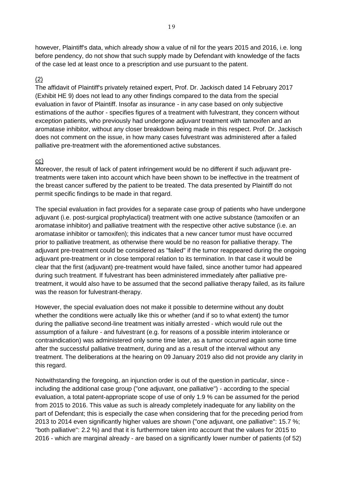however, Plaintiff's data, which already show a value of nil for the years 2015 and 2016, i.e. long before pendency, do not show that such supply made by Defendant with knowledge of the facts of the case led at least once to a prescription and use pursuant to the patent.

#### (2)

The affidavit of Plaintiff's privately retained expert, Prof. Dr. Jackisch dated 14 February 2017 (Exhibit HE 9) does not lead to any other findings compared to the data from the special evaluation in favor of Plaintiff. Insofar as insurance - in any case based on only subjective estimations of the author - specifies figures of a treatment with fulvestrant, they concern without exception patients, who previously had undergone *adjuvant* treatment with tamoxifen and an aromatase inhibitor, without any closer breakdown being made in this respect. Prof. Dr. Jackisch does not comment on the issue, in how many cases fulvestrant was administered after a failed palliative pre-treatment with the aforementioned active substances.

#### cc)

Moreover, the result of lack of patent infringement would be no different if such adjuvant pretreatments were taken into account which have been shown to be ineffective in the treatment of the breast cancer suffered by the patient to be treated. The data presented by Plaintiff do not permit specific findings to be made in that regard.

The special evaluation in fact provides for a separate case group of patients who have undergone adjuvant (i.e. post-surgical prophylactical) treatment with one active substance (tamoxifen or an aromatase inhibitor) and palliative treatment with the respective other active substance (i.e. an aromatase inhibitor or tamoxifen); this indicates that a new cancer tumor must have occurred prior to palliative treatment, as otherwise there would be no reason for palliative therapy. The adjuvant pre-treatment could be considered as "failed" if the tumor reappeared during the ongoing adjuvant pre-treatment or in close temporal relation to its termination. In that case it would be clear that the first (adjuvant) pre-treatment would have failed, since another tumor had appeared during such treatment. If fulvestrant has been administered immediately after palliative pretreatment, it would also have to be assumed that the second palliative therapy failed, as its failure was the reason for fulvestrant-therapy.

However, the special evaluation does not make it possible to determine without any doubt whether the conditions were actually like this or whether (and if so to what extent) the tumor during the palliative second-line treatment was initially arrested - which would rule out the assumption of a failure - and fulvestrant (e.g. for reasons of a possible interim intolerance or contraindication) was administered only some time later, as a tumor occurred again some time after the successful palliative treatment, during and as a result of the interval without any treatment. The deliberations at the hearing on 09 January 2019 also did not provide any clarity in this regard.

Notwithstanding the foregoing, an injunction order is out of the question in particular, since including the additional case group ("one adjuvant, one palliative") - according to the special evaluation, a total patent-appropriate scope of use of only 1.9 % can be assumed for the period from 2015 to 2016. This value as such is already completely inadequate for any liability on the part of Defendant; this is especially the case when considering that for the preceding period from 2013 to 2014 even significantly higher values are shown ("one adjuvant, one palliative": 15.7 %; "both palliative": 2.2 %) and that it is furthermore taken into account that the values for 2015 to 2016 - which are marginal already - are based on a significantly lower number of patients (of 52)